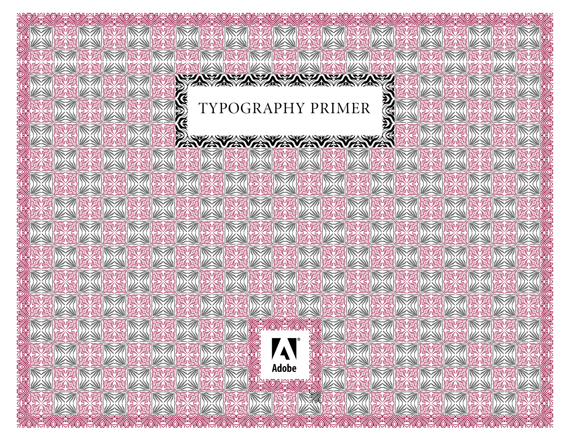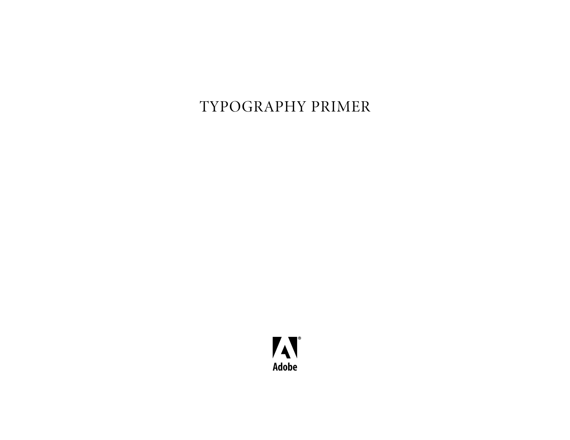### TYPOGRAPHY PRIMER

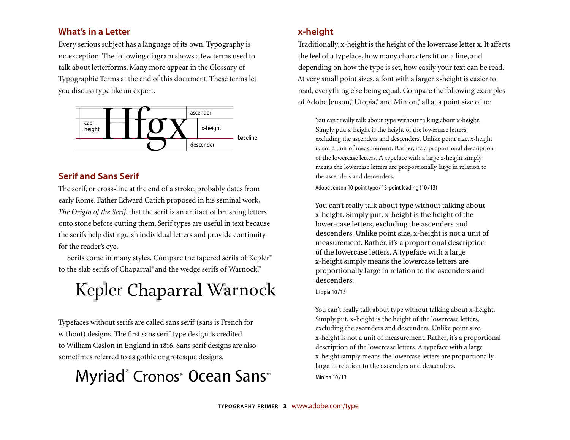### **What's in a Letter**

Every serious subject has a language of its own. Typography is no exception. The following diagram shows a few terms used to talk about letterforms. Many more appear in the Glossary of Typographic Terms at the end of this document. These terms let you discuss type like an expert.



### **Serif and Sans Serif**

The serif, or cross-line at the end of a stroke, probably dates from early Rome. Father Edward Catich proposed in his seminal work, *The Origin of the Serif*, that the serif is an artifact of brushing letters onto stone before cutting them. Serif types are useful in text because the serifs help distinguish individual letters and provide continuity for the reader's eye.

Serifs come in many styles. Compare the tapered serifs of Kepler® to the slab serifs of Chaparral® and the wedge serifs of Warnock.™

## Kepler Chaparral Warnock

Typefaces without serifs are called sans serif (sans is French for without) designs. The first sans serif type design is credited to William Caslon in England in 1816. Sans serif designs are also sometimes referred to as gothic or grotesque designs.

## Myriad® Cronos® Ocean Sans™

### **x-height**

Traditionally, x-height is the height of the lower case letter **x**. It affects the feel of a typeface, how many characters fit on a line, and depending on how the type is set, how easily your text can be read. At very small point sizes, a font with a larger x-height is easier to read, everything else being equal. Compare the following examples of Adobe Jenson,™ Utopia, ® and Minion, ® all at a point size of 10:

You can't really talk about type without talking about x-height. Simply put, x-height is the height of the lowercase letters, excluding the ascenders and descenders. Unlike point size, x-height is not a unit of measurement. Rather, it's a proportional description of the lowercase letters. A typeface with a large x-height simply means the lowercase letters are proportionally large in relation to the ascenders and descenders.

Adobe Jenson 10-point type / 13-point leading (10 /13)

You can't really talk about type without talking about x-height. Simply put, x-height is the height of the lower-case letters, excluding the ascenders and descenders. Unlike point size, x-height is not a unit of measurement. Rather, it's a proportional description of the lowercase letters. A typeface with a large x-height simply means the lowercase letters are proportionally large in relation to the ascenders and descenders.

#### Utopia 10 /13

You can't really talk about type without talking about x-height. Simply put, x-height is the height of the lowercase letters, excluding the ascenders and descenders. Unlike point size, x-height is not a unit of measurement. Rather, it's a proportional description of the lowercase letters. A typeface with a large x-height simply means the lowercase letters are proportionally large in relation to the ascenders and descenders.

Minion 10 /13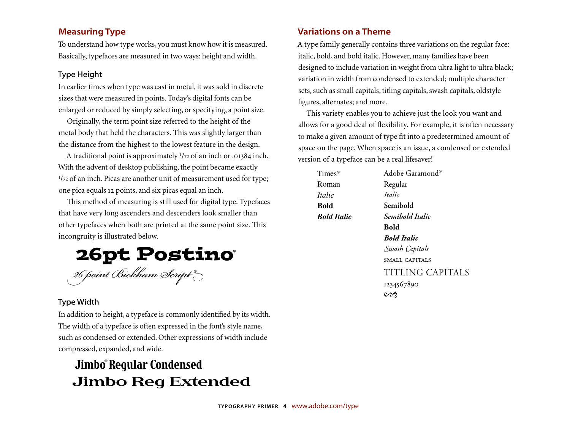### **Measuring Type**

To understand how type works, you must know how it is measured. Basically, typefaces are measured in two ways: height and width.

#### Type Height

In earlier times when type was cast in metal, it was sold in discrete sizes that were measured in points. Today's digital fonts can be enlarged or reduced by simply selecting, or specifying, a point size.

Originally, the term point size referred to the height of the metal body that held the characters. This was slightly larger than the distance from the highest to the lowest feature in the design.

A traditional point is approximately  $1/72$  of an inch or .01384 inch. With the advent of desktop publishing, the point became exactly <sup>1</sup>/72 of an inch. Picas are another unit of measurement used for type; one pica equals 12 points, and six picas equal an inch.

This method of measuring is still used for digital type. Typefaces that have very long ascenders and descenders look smaller than other typefaces when both are printed at the same point size. This incongruity is illustrated below.

26pt Postino® 26 *oint Bickham Scrip* ®

### Type Width

In addition to height, a typeface is commonly identified by its width. The width of a typeface is often expressed in the font's style name, such as condensed or extended. Other expressions of width include compressed, expanded, and wide.

### Jimbo® Regular Condensed Jimbo Reg Extended

### **Variations on a Theme**

A type family generally contains three variations on the regular face: italic, bold, and bold italic. However, many families have been designed to include variation in weight from ultra light to ultra black; variation in width from condensed to extended; multiple character sets, such as small capitals, titling capitals, swash capitals, oldstyle figures, alternates; and more.

This variety enables you to achieve just the look you want and allows for a good deal of flexibility. For example, it is often necessary to make a given amount of type fit into a predetermined amount of space on the page. When space is an issue, a condensed or extended version of a typeface can be a real lifesaver!

| Times*             | Adobe Garamond®         |
|--------------------|-------------------------|
| Roman              | Regular                 |
| <i>Italic</i>      | Italic                  |
| <b>Bold</b>        | Semibold                |
| <b>Bold Italic</b> | Semibold Italic         |
|                    | Bold                    |
|                    | <b>Bold Italic</b>      |
|                    | Swash Capitals          |
|                    | <b>SMALL CAPITALS</b>   |
|                    | <b>TITLING CAPITALS</b> |
|                    | 1234567890              |
|                    | $\cos$                  |
|                    |                         |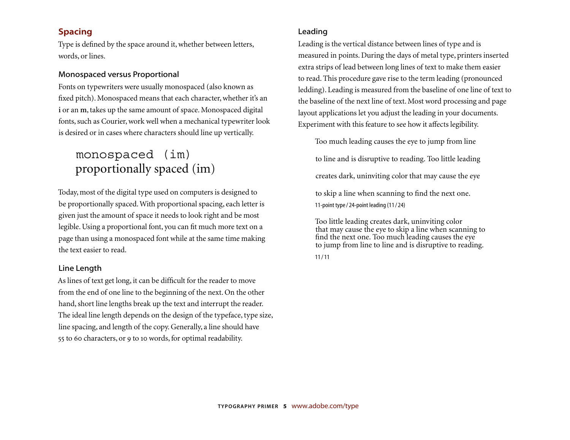### **Spacing**

Type is defined by the space around it, whether between letters, words, or lines.

#### Monospaced versus Proportional

Fonts on typewriters were usually monospaced (also known as fixed pitch). Monospaced means that each character, whether it's an **i** or an **m**, takes up the same amount of space. Monospaced digital fonts, such as Courier, work well when a mechanical typewriter look is desired or in cases where characters should line up vertically.

### monospaced (im) proportionally spaced (im)

Today, most of the digital type used on computers is designed to be proportionally spaced. With proportional spacing, each letter is given just the amount of space it needs to look right and be most legible. Using a proportional font, you can fit much more text on a page than using a monospaced font while at the same time making the text easier to read.

#### Line Length

As lines of text get long, it can be difficult for the reader to move from the end of one line to the beginning of the next. On the other hand, short line lengths break up the text and interrupt the reader. The ideal line length depends on the design of the typeface, type size, line spacing, and length of the copy. Generally, a line should have 55 to 60 characters, or 9 to 10 words, for optimal readability.

#### Leading

Leading is the vertical distance between lines of type and is measured in points. During the days of metal type, printers inserted extra strips of lead between long lines of text to make them easier to read. This procedure gave rise to the term leading (pronounced ledding). Leading is measured from the baseline of one line of text to the baseline of the next line of text. Most word processing and page layout applications let you adjust the leading in your documents. Experiment with this feature to see how it affects legibility.

Too much leading causes the eye to jump from line

to line and is disruptive to reading. Too little leading

creates dark, uninviting color that may cause the eye

to skip a line when scanning to find the next one. 11-point type / 24-point leading (11 / 24)

Too little leading creates dark, uninviting color that may cause the eye to skip a line when scanning to find the next one. Too much leading causes the eye to jump from line to line and is disruptive to reading. 11 / 11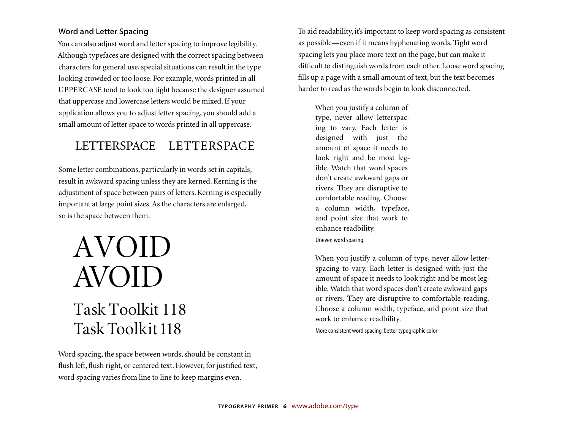### Word and Letter Spacing

You can also adjust word and letter spacing to improve legibility. Although typefaces are designed with the correct spacing between characters for general use, special situations can result in the type looking crowded or too loose. For example, words printed in all UPPERCASE tend to look too tight because the designer assumed that uppercase and lowercase letters would be mixed. If your application allows you to adjust letter spacing, you should add a small amount of letter space to words printed in all uppercase.

### LETTERSPACE LETTERSPACE

Some letter combinations, particularly in words set in capitals, result in awkward spacing unless they are kerned. Kerning is the adjustment of space between pairs of letters. Kerning is especially important at large point sizes. As the characters are enlarged, so is the space between them.

## AVOID AVOID Task Toolkit 118 Task Toolkit 118

Word spacing, the space between words, should be constant in flush left, flush right, or centered text. However, for justified text, word spacing varies from line to line to keep margins even.

To aid readability, it's important to keep word spacing as consistent as possible—even if it means hyphenating words. Tight word spacing lets you place more text on the page, but can make it difficult to distinguish words from each other. Loose word spacing fills up a page with a small amount of text, but the text becomes harder to read as the words begin to look disconnected.

When you justify a column of type, never allow letterspacing to vary. Each letter is designed with just the amount of space it needs to look right and be most legible. Watch that word spaces don't create awkward gaps or rivers. They are disruptive to comfortable reading. Choose a column width, typeface, and point size that work to enhance readbility. Uneven word spacing

When you justify a column of type, never allow letterspacing to vary. Each letter is designed with just the amount of space it needs to look right and be most legible. Watch that word spaces don't create awkward gaps or rivers. They are disruptive to comfortable reading. Choose a column width, typeface, and point size that work to enhance readbility.

More consistent word spacing, better typographic color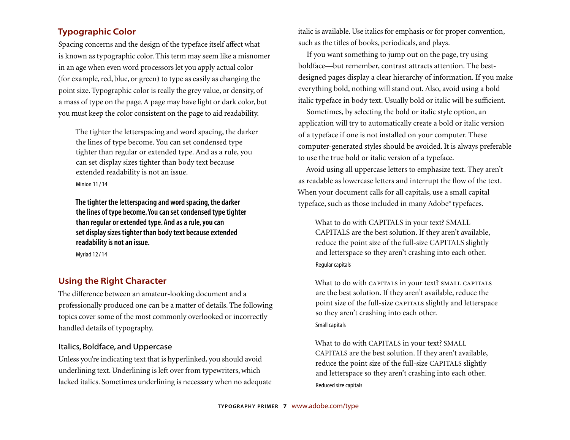### **Typographic Color**

Spacing concerns and the design of the typeface itself affect what is known as typographic color. This term may seem like a misnomer in an age when even word processors let you apply actual color (for example, red, blue, or green) to type as easily as changing the point size. Typographic color is really the grey value, or density, of a mass of type on the page. A page may have light or dark color, but you must keep the color consistent on the page to aid readability.

The tighter the letterspacing and word spacing, the darker the lines of type become. You can set condensed type tighter than regular or extended type. And as a rule, you can set display sizes tighter than body text because extended readability is not an issue.

Minion 11 / 14

**The tighter the letterspacing and word spacing, the darker the lines of type become. You can set condensed type tighter than regular or extended type. And as a rule, you can set display sizes tighter than body text because extended readability is not an issue.**

Myriad 12 / 14

### **Using the Right Character**

The difference between an amateur-looking document and a professionally produced one can be a matter of details. The following topics cover some of the most commonly overlooked or incorrectly handled details of typography.

### Italics, Boldface, and Uppercase

Unless you're indicating text that is hyperlinked, you should avoid underlining text. Underlining is left over from typewriters, which lacked italics. Sometimes underlining is necessary when no adequate italic is available. Use italics for emphasis or for proper convention, such as the titles of books, periodicals, and plays.

If you want something to jump out on the page, try using boldface—but remember, contrast attracts attention. The bestdesigned pages display a clear hierarchy of information. If you make everything bold, nothing will stand out. Also, avoid using a bold italic typeface in body text. Usually bold or italic will be sufficient.

Sometimes, by selecting the bold or italic style option, an application will try to automatically create a bold or italic version of a typeface if one is not installed on your computer. These computer-generated styles should be avoided. It is always preferable to use the true bold or italic version of a typeface.

Avoid using all uppercase letters to emphasize text. They aren't as readable as lowercase letters and interrupt the flow of the text. When your document calls for all capitals, use a small capital typeface, such as those included in many Adobe® typefaces.

What to do with CAPITALS in your text? SMALL CAPITALS are the best solution. If they aren't available, reduce the point size of the full-size CAPITALS slightly and letterspace so they aren't crashing into each other. Regular capitals

What to do with CAPITALS in your text? SMALL CAPITALS are the best solution. If they aren't available, reduce the point size of the full-size CAPITALS slightly and letterspace so they aren't crashing into each other. Small capitals

What to do with CAPITALS in your text? SMALL CAPITALS are the best solution. If they aren't available, reduce the point size of the full-size CAPITALS slightly and letterspace so they aren't crashing into each other. Reduced size capitals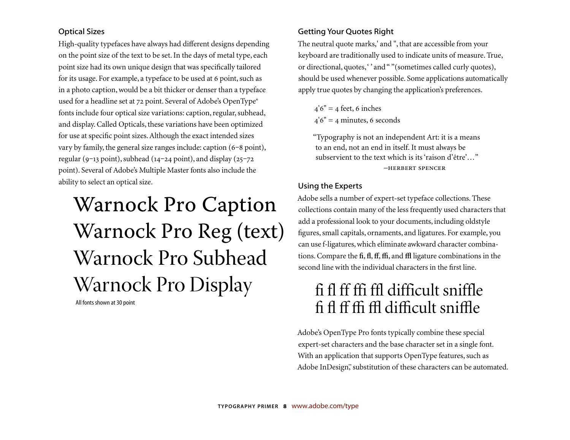### Optical Sizes

High-quality typefaces have always had different designs depending on the point size of the text to be set. In the days of metal type, each point size had its own unique design that was specifically tailored for its usage. For example, a typeface to be used at 6 point, such as in a photo caption, would be a bit thicker or denser than a typeface used for a headline set at 72 point. Several of Adobe's OpenType® fonts include four optical size variations: caption, regular, subhead, and display. Called Opticals, these variations have been optimized for use at specific point sizes. Although the exact intended sizes vary by family, the general size ranges include: caption  $(6-8 \text{ point})$ , regular (9-13 point), subhead (14-24 point), and display (25-72 point). Several of Adobe's Multiple Master fonts also include the ability to select an optical size.

# Warnock Pro Caption Warnock Pro Reg (text) Warnock Pro Subhead Warnock Pro Display

All fonts shown at 30 point

### Getting Your Quotes Right

The neutral quote marks,' and ", that are accessible from your keyboard are traditionally used to indicate units of measure. True, or directional, quotes, " and " " (sometimes called curly quotes), should be used whenever possible. Some applications automatically apply true quotes by changing the application's preferences.

 $4'6'' = 4$  feet, 6 inches  $4'6'' = 4$  minutes, 6 seconds

"Typography is not an independent Art: it is a means to an end, not an end in itself. It must always be subservient to the text which is its 'raison d'être'…" -HERBERT SPENCER

### Using the Experts

Adobe sells a number of expert-set typeface collections. These collections contain many of the less frequently used characters that add a professional look to your documents, including oldstyle figures, small capitals, ornaments, and ligatures. For example, you can use f-ligatures, which eliminate awkward character combinations. Compare the **fi**, **fl**, **ff**, **ffi**, and **ffl** ligature combinations in the second line with the individual characters in the first line.

### fi fl ff ffi ffl difficult sniffle fi fl ff ffi ffl difficult sniffl<sup>e</sup>

Adobe's OpenType Pro fonts typically combine these special expert-set characters and the base character set in a single font. With an application that supports OpenType features, such as Adobe InDesign™ substitution of these characters can be automated.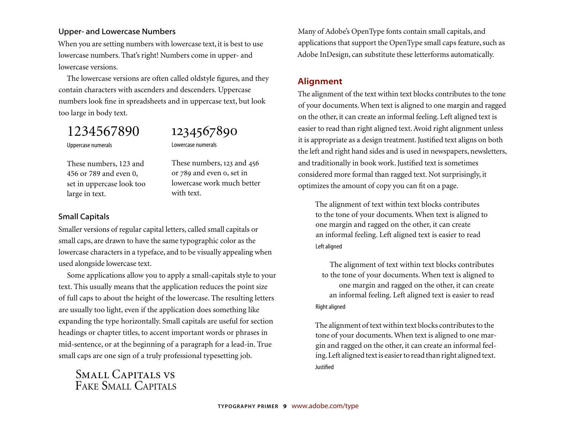#### Upper- and Lowercase Numbers

When you are setting numbers with lowercase text, it is best to use lowercase numbers. That's right! Numbers come in upper- and lowercase versions.

The lowercase versions are often called oldstyle figures, and they contain characters with ascenders and descenders. Uppercase numbers look fine in spreadsheets and in uppercase text, but look too large in body text.

### 1234567890

### 1234567890

These numbers, 123 and 456 or 789 and even o, set in lowercase work much better

Uppercase numerals

Lowercase numerals

with text.

These numbers, 123 and 456 or 789 and even 0, set in uppercase look too large in text.

### Small Capitals

Smaller versions of regular capital letters, called small capitals or small caps, are drawn to have the same typographic color as the lowercase characters in a typeface, and to be visually appealing when used alongside lowercase text.

Some applications allow you to apply a small-capitals style to your text. This usually means that the application reduces the point size of full caps to about the height of the lowercase. The resulting letters are usually too light, even if the application does something like expanding the type horizontally. Small capitals are useful for section headings or chapter titles, to accent important words or phrases in mid-sentence, or at the beginning of a paragraph for a lead-in. True small caps are one sign of a truly professional typesetting job.

Small Capitals vs FAKE SMALL CAPITALS

Many of Adobe's OpenType fonts contain small capitals, and applications that support the OpenType small caps feature, such as Adobe InDesign, can substitute these letterforms automatically.

### **Alignment**

The alignment of the text within text blocks contributes to the tone of your documents. When text is aligned to one margin and ragged on the other, it can create an informal feeling. Left aligned text is easier to read than right aligned text. Avoid right alignment unless it is appropriate as a design treatment. Justified text aligns on both the left and right hand sides and is used in newspapers, newsletters, and traditionally in book work. Justified text is sometimes considered more formal than ragged text. Not surprisingly, it optimizes the amount of copy you can fit on a page.

The alignment of text within text blocks contributes to the tone of your documents. When text is aligned to one margin and ragged on the other, it can create an informal feeling. Left aligned text is easier to read Left aligned

The alignment of text within text blocks contributes to the tone of your documents. When text is aligned to one margin and ragged on the other, it can create an informal feeling. Left aligned text is easier to read Right aligned

The alignment of text within text blocks contributes to the tone of your documents. When text is aligned to one margin and ragged on the other, it can create an informal feeling. Left aligned text is easier to read than right aligned text. **Justified**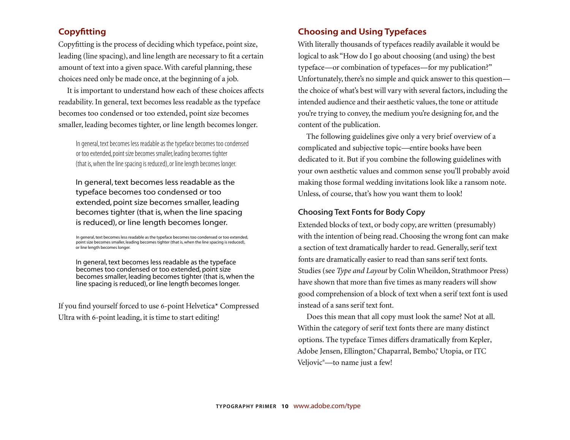### **Copyfitting**

Copyfitting is the process of deciding which typeface, point size, leading (line spacing), and line length are necessary to fit a certain amount of text into a given space. With careful planning, these choices need only be made once, at the beginning of a job.

It is important to understand how each of these choices affects readability. In general, text becomes less readable as the typeface becomes too condensed or too extended, point size becomes smaller, leading becomes tighter, or line length becomes longer.

In general, text becomes less readable as the typeface becomes too condensed or too extended, point size becomes smaller, leading becomes tighter (that is, when the line spacing is reduced), or line length becomes longer.

In general, text becomes less readable as the typeface becomes too condensed or too extended, point size becomes smaller, leading becomes tighter (that is, when the line spacing is reduced), or line length becomes longer.

In general, text becomes less readable as the typeface becomes too condensed or too extended, point size becomes smaller, leading becomes tighter (that is, when the line spacing is reduced), or line length becomes longer.

In general, text becomes less readable as the typeface becomes too condensed or too extended, point size becomes smaller, leading becomes tighter (that is, when the line spacing is reduced), or line length becomes longer.

If you find yourself forced to use 6-point Helvetica\* Compressed Ultra with 6-point leading, it is time to start editing!

### **Choosing and Using Typefaces**

With literally thousands of typefaces readily available it would be logical to ask "How do I go about choosing (and using) the best typeface—or combination of typefaces—for my publication?" Unfortunately, there's no simple and quick answer to this question the choice of what's best will vary with several factors, including the intended audience and their aesthetic values, the tone or attitude you 're trying to convey, the medium you're designing for, and the content of the publication.

The following guidelines give only a very brief overview of a complicated and subjective topic—entire books have been dedicated to it. But if you combine the following guidelines with your own aesthetic values and common sense you'll probably avoid making those formal wedding invitations look like a ransom note. Unless, of course, that's how you want them to look!

#### Choosing Text Fonts for Body Copy

Extended blocks of text, or body copy, are written (presumably) with the intention of being read. Choosing the wrong font can make a section of text dramatically harder to read. Generally, serif text fonts are dramatically easier to read than sans serif text fonts. Studies (see *Type and Layout* by Colin Wheildon, Strathmoor Press) have shown that more than five times as many readers will show good comprehension of a block of text when a serif text font is used instead of a sans serif text font.

Does this mean that all copy must look the same? Not at all. Within the category of serif text fonts there are many distinct options. The typeface Times differs dramatically from Kepler, Adobe Jensen, Ellington,® Chaparral, Bembo,® Utopia, or ITC Veljovic®—to name just a few!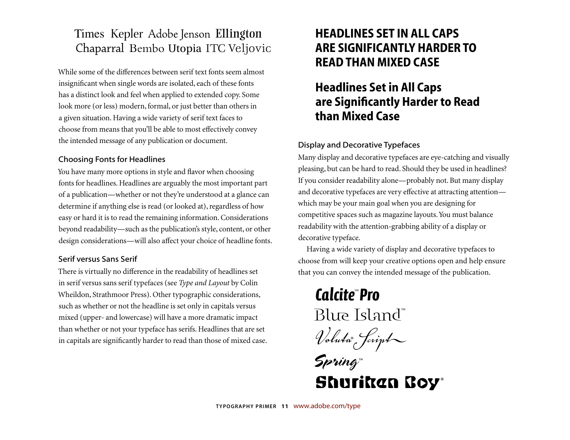### Times Kepler Adobe Jenson Ellington Chaparral Bembo Utopia ITC Veljovic

While some of the di fferences between serif text fonts seem almost insignificant when single words are isolated, each of these fonts has a distinct look and feel when applied to extended copy. Some look more (or less) modern, formal, or just better than others in a given situation. Having a wide variety of serif text faces to choose from means that you'll be able to most e ffectively convey the intended message of any publication or document.

### Choosing Fonts for Headlines

You have many more options in style and flavor when choosing fonts for headlines. Headlines are arguably the most important part of a publication —whether or not they're understood at a glance can determine if anything else is read (or looked at), regardless of how easy or hard it is to read the remaining information. Considerations beyond readability —such as the publication's style, content, or other design considerations —will also a ffect your choice of headline fonts.

### Serif versus Sans Serif

There is virtually no difference in the readability of headlines set in serif versus sans serif typefaces (see *Type and Layout* by Colin Wheildon, Strathmoor Press). Other typographic considerations, such as whether or not the headline is set only in capitals versus mixed (upper- and lowercase) will have a more dramatic impact than whether or not your typeface has serifs. Headlines that are set in capitals are signi ficantly harder to read than those of mixed case.

### **HEADLINES SET IN ALL CAPS ARE SIGNIFICANTLY HARDER TO READ THAN MIXED CASE**

### **Headlines Set in All Caps are Significantly Harder to Read than Mixed Case**

### Display and Decorative Typefaces

Many display and decorative typefaces are eye-catching and visually pleasing, but can be hard to read. Should they be used in headlines? If you consider readability alone —probably not. But many display and decorative typefaces are very e ffective at attracting attention which may be your main goal when you are designing for competitive spaces such as magazine layouts. You must balance readability with the attention-grabbing ability of a display or decorative typeface.

Having a wide variety of display and decorative typefaces to choose from will keep your creative options open and help ensure that you can convey the intended message of the publication.

*Calcite*™ *Pro* Blue Island ™

*Voluta*® *Script*

*Spring* ™ Shurikan Boy®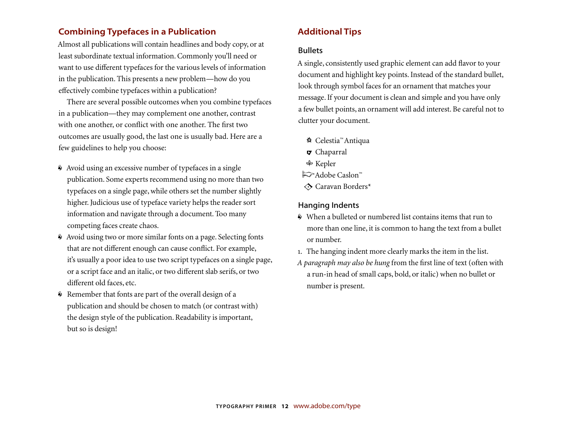### **Combining Typefaces in a Publication**

Almost all publications will contain headlines and body copy, or at least subordinate textual information. Commonly you'll need or want to use different typefaces for the various levels of information in the publication. This presents a new problem—how do you <sup>e</sup>ffectively combine typefaces within a publication?

There are several possible outcomes when you combine typefaces in a publication—they may complement one another, contrast with one another, or conflict with one another. The first two outcomes are usually good, the last one is usually bad. Here are a few guidelines to help you choose:

- Avoid using an excessive number of typefaces in a single publication. Some experts recommend using no more than two typefaces on a single page, while others set the number slightly higher. Judicious use of typeface variety helps the reader sort information and navigate through a document. Too many competing faces create chaos.
- Avoid using two or more similar fonts on a page. Selecting fonts that are not different enough can cause conflict. For example, it's usually a poor idea to use two script typefaces on a single page, or a script face and an italic, or two different slab serifs, or two different old faces, etc.
- Remember that fonts are part of the overall design of a publication and should be chosen to match (or contrast with) the design style of the publication. Readability is important, but so is design!

### **Additional Tips**

#### **Bullets**

A single, consistently used graphic element can add flavor to your document and highlight key points. Instead of the standard bullet, look through symbol faces for an ornament that matches your message. If your document is clean and simple and you have only a few bullet points, an ornament will add interest. Be careful not to clutter your document.

- **☆ Celestia™Antiqua** 
	- Chaparral
	- Kepler
- Adobe Caslon™
- Caravan Borders\*

### Hanging Indents

- When a bulleted or numbered list contains items that run to more than one line, it is common to hang the text from a bullet or number.
- . The hanging indent more clearly marks the item in the list.
- *A paragraph may also be hung* from the first line of text (often with a run-in head of small caps, bold, or italic) when no bullet or number is present.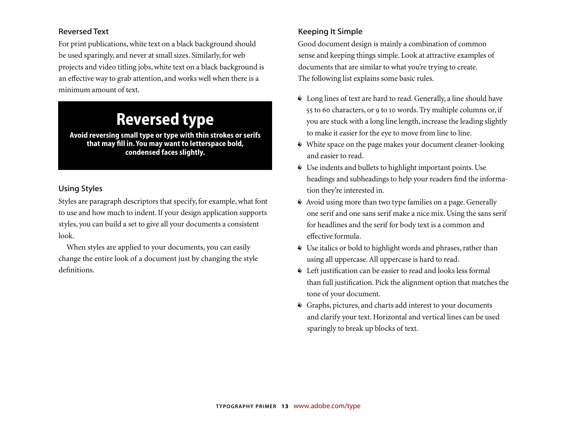### Reversed Text

For print publications, white text on a black background should be used sparingly, and never at small sizes. Similarly, for web projects and video titling jobs, white text on a black background is an effective way to grab attention, and works well when there is a minimum amount of text.

### **Reversed type**

**Avoid reversing small type or type with thin strokes or serifs**  that may fill in. You may want to letterspace bold, **condensed faces slightly.**

### Using Styles

Styles are paragraph descriptors that specify, for example, what font to use and how much to indent. If your design application supports styles, you can build a set to give all your documents a consistent look.

When styles are applied to your documents, you can easily change the entire look of a document just by changing the style definitions.

### Keeping It Simple

Good document design is mainly a combination of common sense and keeping things simple. Look at attractive examples of documents that are similar to what you're trying to create. The following list explains some basic rules.

- Long lines of text are hard to read. Generally, a line should have 55 to 60 characters, or 9 to 10 words. Try multiple columns or, if you are stuck with a long line length, increase the leading slightly to make it easier for the eye to move from line to line.
- White space on the page makes your document cleaner-looking and easier to read.
- Use indents and bullets to highlight important points. Use headings and subheadings to help your readers find the information they're interested in.
- Avoid using more than two type families on a page. Generally one serif and one sans serif make a nice mix. Using the sans serif for headlines and the serif for body text is a common and <sup>e</sup>ffective formula.
- Use italics or bold to highlight words and phrases, rather than using all uppercase. All uppercase is hard to read.
- Left justification can be easier to read and looks less formal than full justification. Pick the alignment option that matches the tone of your document.
- Graphs, pictures, and charts add interest to your documents and clarify your text. Horizontal and vertical lines can be used sparingly to break up blocks of text.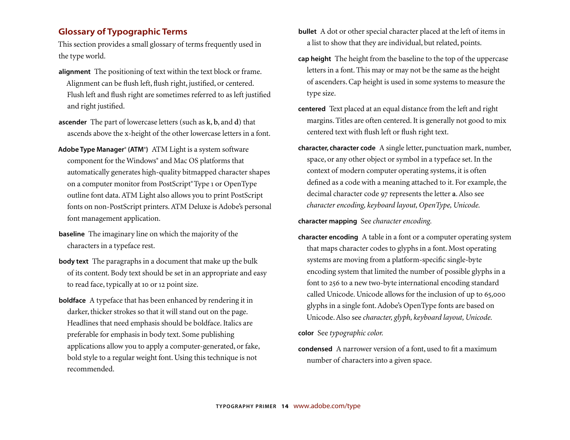### **Glossary of Typographic Terms**

This section provides a small glossary of terms frequently used in the type world.

- **alignment** The positioning of text within the text block or frame. Alignment can be flush left, flush right, justified, or centered. Flush left and flush right are sometimes referred to as left justified and right justified.
- **ascender** The part of lowercase letters (such as **k**, **b**, and **d**) that ascends above the x-height of the other lowercase letters in a font.
- **Adobe Type Manager® (ATM®)** ATM Light is a system software component for the Windows® and Mac OS platforms that automatically generates high-quality bitmapped character shapes on a computer monitor from PostScript® Type 1 or OpenType outline font data. ATM Light also allows you to print PostScript fonts on non-PostScript printers. ATM Deluxe is Adobe's personal font management application.
- **baseline** The imaginary line on which the majority of the characters in a typeface rest.
- **body text** The paragraphs in a document that make up the bulk of its content. Body text should be set in an appropriate and easy to read face, typically at 10 or 12 point size.
- **boldface** A typeface that has been enhanced by rendering it in darker, thicker strokes so that it will stand out on the page. Headlines that need emphasis should be boldface. Italics are preferable for emphasis in body text. Some publishing applications allow you to apply a computer-generated, or fake, bold style to a regular weight font. Using this technique is not recommended.
- **bullet** A dot or other special character placed at the left of items in a list to show that they are individual, but related, points.
- **cap height** The height from the baseline to the top of the uppercase letters in a font. This may or may not be the same as the height of ascenders. Cap height is used in some systems to measure the type size.
- **centered** Text placed at an equal distance from the left and right margins. Titles are often centered. It is generally not good to mix centered text with flush left or flush right text.
- **character, character code** A single letter, punctuation mark, number, space, or any other object or symbol in a typeface set. In the context of modern computer operating systems, it is often defined as a code with a meaning attached to it. For example, the decimal character code 97 represents the letter a. Also see *character encoding, keyboard layout, OpenType, Unicode.*

**character mapping** See *character encoding.* 

**character encoding** A table in a font or a computer operating system that maps character codes to glyphs in a font. Most operating systems are moving from a platform-specific single-byte encoding system that limited the number of possible glyphs in a font to 256 to a new two-byte international encoding standard called Unicode. Unicode allows for the inclusion of up to 65,000 glyphs in a single font. Adobe's OpenType fonts are based on Unicode. Also see *character, glyph, keyboard layout, Unicode.* 

**color** See *typographic color.* 

**condensed** A narrower version of a font, used to fit a maximum number of characters into a given space.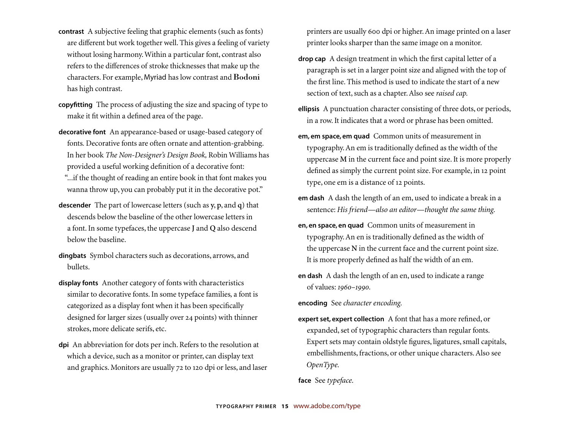- **contrast** A subjective feeling that graphic elements (such as fonts) are di fferent but work together well. This gives a feeling of variety without losing harmony. Within a particular font, contrast also refers to the di fferences of stroke thicknesses that make up the characters. For example, Myriad has low contrast and Bodoni has high contrast.
- **copyfi tting** The process of adjusting the size and spacing of type to make it fit within a de fined area of the page.
- **decorative font** An appearance-based or usage-based category of fonts*.* Decorative fonts are often ornate and attention-grabbing. In her book *The Non-Designer's Design Book,* Robin Williams has provided a useful working de finition of a decorative font:
	- "...if the thought of reading an entire book in that font makes you wanna throw up, you can probably put it in the decorative pot."
- **descender** The part of lowercase letters (such as **y**, **p**, and **q**) that descends below the baseline of the other lowercase letters in a font. In some typefaces, the uppercase **J** and **Q** also descend below the baseline.
- **dingbats** Symbol characters such as decorations, arrows, and bullets.
- **display fonts** Another category of fonts with characteristics similar to decorative fonts. In some typeface families*,* a font is categorized as a display font when it has been speci fically designed for larger sizes (usually over 24 points) with thinner strokes, more delicate serifs, etc.
- **dpi** An abbreviation for dots per inch. Refers to the resolution at which a device, such as a monitor or printer, can display text and graphics. Monitors are usually 72 to 120 dpi or less, and laser

printers are usually 600 dpi or higher. An image printed on a laser printer looks sharper than the same image on a monitor.

- **drop cap** A design treatment in which the first capital letter of a paragraph is set in a larger point size and aligned with the top of the first line. This method is used to indicate the start of a new section of text, such as a chapter. Also see *raised cap.*
- **ellipsis** A punctuation character consisting of three dots, or periods, in a row. It indicates that a word or phrase has been omitted.
- **em, em space, em quad** Common units of measurement in typography. An em is traditionally defined as the width of the uppercase **<sup>M</sup>**in the current face and point size. It is more properly defined as simply the current point size. For example, in 12 point type, one em is a distance of 12 points.
- em dash A dash the length of an em, used to indicate a break in a sentence: *His friend —also an editor —thought the same thing.*
- **en, en space, en quad** Common units of measurement in typography. An en is traditionally de fined as the width of the uppercase **N** in the current face and the current point size. It is more properly de fined as half the width of an em.
- **en dash** A dash the length of an en, used to indicate a range of values: *1960–1990.*

**encoding** See *character encoding.*

**expert set, expert collection** A font that has a more re fined, or expanded, set of typographic characters than regular fonts. Expert sets may contain oldstyle figures, ligatures, small capitals, embellishments, fractions, or other unique characters. Also see *OpenType.*

**face** See *typeface.*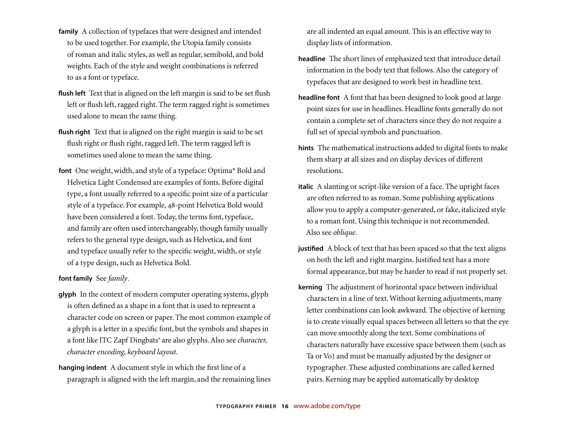- **family** A collection of typefaces that were designed and intended to be used together. For example, the Utopia family consists of roman and italic styles, as well as regular, semibold, and bold weights. Each of the style and weight combinations is referred to as a font or typeface.
- **flush left** Text that is aligned on the left margin is said to be set flush left or flush left, ragged right. The term ragged right is sometimes used alone to mean the same thing.
- flush right Text that is aligned on the right margin is said to be set flush right or flush right, ragged left. The term ragged left is sometimes used alone to mean the same thing.
- **font** One weight, width, and style of a typeface: Optima\* Bold and Helvetica Light Condensed are examples of fonts. Before digital type, a font usually referred to a speci fi c point size of a particular style of a typeface. For example, 48-point Helvetica Bold would have been considered a font. Today, the terms font, typeface, and family are often used interchangeably, though family usually refers to the general type design, such as Helvetica, and font and typeface usually refer to the speci fi c weight, width, or style of a type design, such as Helvetica Bold.

#### **font family** See *family*.

- **glyph** In the context of modern computer operating systems, glyph is often de fined as a shape in a font that is used to represent a character code on screen or paper. The most common example of a glyph is a letter in a speci fi c font, but the symbols and shapes in a font like ITC Zapf Dingbats® are also glyphs. Also see *character, character encoding, keyboard layout.*
- **hanging indent** A document style in which the first line of a paragraph is aligned with the left margin, and the remaining lines

are all indented an equal amount. This is an effective way to display lists of information.

- **headline** The short lines of emphasized text that introduce detail information in the body text that follows. Also the category of typefaces that are designed to work best in headline text.
- **headline font** A font that has been designed to look good at large point sizes for use in headlines. Headline fonts generally do not contain a complete set of characters since they do not require a full set of special symbols and punctuation.
- **hints** The mathematical instructions added to digital fonts to make them sharp at all sizes and on display devices of di fferent resolutions.
- **italic** A slanting or script-like version of a face. The upright faces are often referred to as roman. Some publishing applications allow you to apply a computer-generated, or fake, italicized style to a roman font. Using this technique is not recommended. Also see *oblique.*
- **justified** A block of text that has been spaced so that the text aligns on both the left and right margins. Justi fied text has a more formal appearance, but may be harder to read if not properly set.
- **kerning** The adjustment of horizontal space between individual characters in a line of text. Without kerning adjustments, many letter combinations can look awkward. The objective of kerning is to create visually equal spaces between all letters so that the eye can move smoothly along the text. Some combinations of characters naturally have excessive space between them (such as Ta or Vo) and must be manually adjusted by the designer or typographer. These adjusted combinations are called kerned pairs. Kerning may be applied automatically by desktop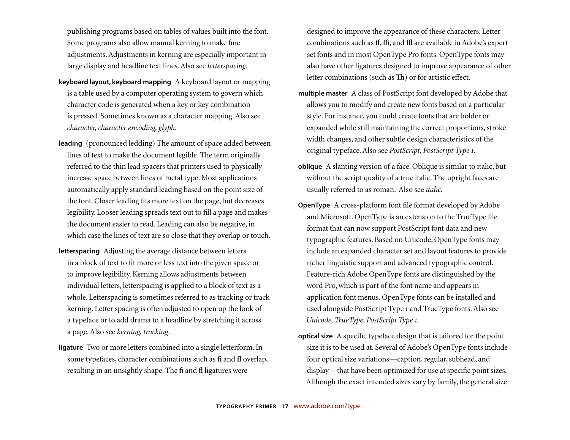publishing programs based on tables of values built into the font. Some programs also allow manual kerning to make fine adjustments. Adjustments in kerning are especially important in large display and headline text lines. Also see *letterspacing*.

- **keyboard layout, keyboard mapping** A keyboard layout or mapping is a table used by a computer operating system to govern which character code is generated when a key or key combination is pressed. Sometimes known as a character mapping. Also see *character, character encoding, glyph.*
- **leading** (pronounced ledding) The amount of space added between lines of text to make the document legible. The term originally referred to the thin lead spacers that printers used to physically increase space between lines of metal type. Most applications automatically apply standard leading based on the point size of the font. Closer leading fits more text on the page, but decreases legibility. Looser leading spreads text out to fill a page and makes the document easier to read. Leading can also be negative, in which case the lines of text are so close that they overlap or touch.
- **letterspacing** Adjusting the average distance between letters in a block of text to fit more or less text into the given space or to improve legibility. Kerning allows adjustments between individual letters, letterspacing is applied to a block of text as a whole. Letterspacing is sometimes referred to as tracking or track kerning. Letter spacing is often adjusted to open up the look of a typeface or to add drama to a headline by stretching it across a page. Also see *kerning, tracking*.
- **ligature** Two or more letters combined into a single letterform. In some typefaces, character combinations such as **fi** and **fl** overlap, resulting in an unsightly shape. The **fi** and **fl** ligatures were

designed to improve the appearance of these characters. Letter combinations such as **ff**, **ffi**, and **ffl** are available in Adobe's expert set fonts and in most OpenType Pro fonts. OpenType fonts may also have other ligatures designed to improve appearance of other letter combinations (such as  $\text{Th}$ ) or for artistic effect.

- **multiple master** A class of PostScript font developed by Adobe that allows you to modify and create new fonts based on a particular style. For instance, you could create fonts that are bolder or expanded while still maintaining the correct proportions, stroke width changes, and other subtle design characteristics of the original typeface. Also see *PostScript, PostScript Type* .
- **oblique** A slanting version of a face. Oblique is similar to italic, but without the script quality of a true italic. The upright faces are usually referred to as roman. Also see *italic*.
- **OpenType** A cross-platform font file format developed by Adobe and Microsoft. OpenType is an extension to the TrueType file format that can now support PostScript font data and new typographic features. Based on Unicode, OpenType fonts may include an expanded character set and layout features to provide richer linguistic support and advanced typographic control. Feature-rich Adobe OpenType fonts are distinguished by the word Pro, which is part of the font name and appears in application font menus. OpenType fonts can be installed and used alongside PostScript Type and TrueType fonts. Also see *Unicode, TrueType, PostScript Type .*
- **optical size** A specific typeface design that is tailored for the point size it is to be used at. Several of Adobe's OpenType fonts include four optical size variations—caption, regular, subhead, and display—that have been optimized for use at specific point sizes. Although the exact intended sizes vary by family, the general size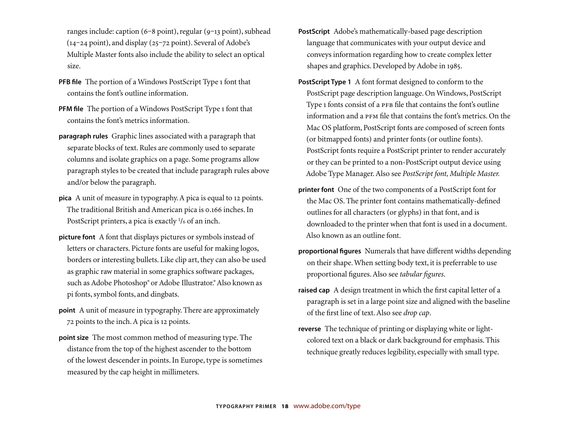ranges include: caption (6-8 point), regular (9-13 point), subhead  $(14-24 \text{ point})$ , and display  $(25-72 \text{ point})$ . Several of Adobe's Multiple Master fonts also include the ability to select an optical size.

- **PFB file** The portion of a Windows PostScript Type 1 font that contains the font's outline information.
- **PFM file** The portion of a Windows PostScript Type 1 font that contains the font's metrics information.
- **paragraph rules** Graphic lines associated with a paragraph that separate blocks of text. Rules are commonly used to separate columns and isolate graphics on a page. Some programs allow paragraph styles to be created that include paragraph rules above and/or below the paragraph.
- **pica** A unit of measure in typography. A pica is equal to 12 points. The traditional British and American pica is 0.166 inches. In PostScript printers, a pica is exactly  $\frac{1}{6}$  of an inch.
- **picture font** A font that displays pictures or symbols instead of letters or characters. Picture fonts are useful for making logos, borders or interesting bullets. Like clip art, they can also be used as graphic raw material in some graphics software packages, such as Adobe Photoshop® or Adobe Illustrator.® Also known as pi fonts, symbol fonts, and dingbats.
- **point** A unit of measure in typography. There are approximately 72 points to the inch. A pica is 12 points.
- **point size** The most common method of measuring type. The distance from the top of the highest ascender to the bottom of the lowest descender in points. In Europe, type is sometimes measured by the cap height in millimeters.
- **PostScript** Adobe's mathematically-based page description language that communicates with your output device and conveys information regarding how to create complex letter shapes and graphics. Developed by Adobe in 1985.
- **PostScript Type 1** A font format designed to conform to the PostScript page description language. On Windows, PostScript Type 1 fonts consist of a PFB file that contains the font's outline information and a PFM file that contains the font's metrics. On the Mac OS platform, PostScript fonts are composed of screen fonts (or bitmapped fonts) and printer fonts (or outline fonts). PostScript fonts require a PostScript printer to render accurately or they can be printed to a non-PostScript output device using Adobe Type Manager. Also see *PostScript font, Multiple Master.*
- **printer font** One of the two components of a PostScript font for the Mac OS. The printer font contains mathematically-defined outlines for all characters (or glyphs) in that font, and is downloaded to the printer when that font is used in a document. Also known as an outline font.
- **proportional figures** Numerals that have different widths depending on their shape. When setting body text, it is preferrable to use proportional figures. Also see *tabular figures*.
- **raised cap** A design treatment in which the first capital letter of a paragraph is set in a large point size and aligned with the baseline of the first line of text. Also see *drop cap*.
- **reverse** The technique of printing or displaying white or lightcolored text on a black or dark background for emphasis. This technique greatly reduces legibility, especially with small type.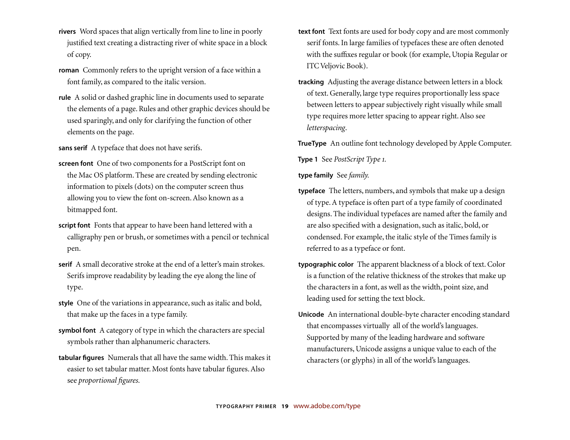- **rivers** Word spaces that align vertically from line to line in poorly justified text creating a distracting river of white space in a block of copy.
- **roman** Commonly refers to the upright version of a face within a font family, as compared to the italic version.
- **rule** A solid or dashed graphic line in documents used to separate the elements of a page. Rules and other graphic devices should be used sparingly, and only for clarifying the function of other elements on the page.

**sans serif** A typeface that does not have serifs.

- **screen font** One of two components for a PostScript font on the Mac OS platform. These are created by sending electronic information to pixels (dots) on the computer screen thus allowing you to view the font on-screen. Also known as a bitmapped font.
- **script font** Fonts that appear to have been hand lettered with a calligraphy pen or brush, or sometimes with a pencil or technical pen.
- **serif** A small decorative stroke at the end of a letter's main strokes. Serifs improve readability by leading the eye along the line of type.
- **style** One of the variations in appearance, such as italic and bold, that make up the faces in a type family.
- **symbol font** A category of type in which the characters are special symbols rather than alphanumeric characters.
- **tabular figures** Numerals that all have the same width. This makes it easier to set tabular matter. Most fonts have tabular figures. Also see *proportional* figures.
- **text font** Text fonts are used for body copy and are most commonly serif fonts. In large families of typefaces these are often denoted with the suffixes regular or book (for example, Utopia Regular or ITC Veljovic Book).
- **tracking** Adjusting the average distance between letters in a block of text. Generally, large type requires proportionally less space between letters to appear subjectively right visually while small type requires more letter spacing to appear right. Also see *letterspacing*.

**TrueType** An outline font technology developed by Apple Computer.

**Type 1** See *PostScript Type .*

**type family** See *family.*

- **typeface** The letters, numbers, and symbols that make up a design of type. A typeface is often part of a type family of coordinated designs. The individual typefaces are named after the family and are also specified with a designation, such as italic, bold, or condensed. For example, the italic style of the Times family is referred to as a typeface or font.
- **typographic color** The apparent blackness of a block of text. Color is a function of the relative thickness of the strokes that make up the characters in a font, as well as the width, point size, and leading used for setting the text block.
- **Unicode** An international double-byte character encoding standard that encompasses virtually all of the world's languages. Supported by many of the leading hardware and software manufacturers, Unicode assigns a unique value to each of the characters (or glyphs) in all of the world's languages.